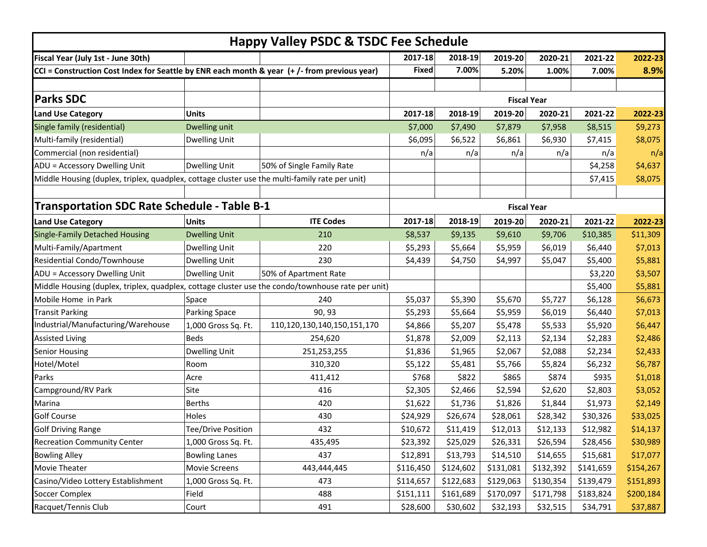| <b>Happy Valley PSDC &amp; TSDC Fee Schedule</b>                                                  |                           |                             |                    |           |           |           |           |           |  |  |
|---------------------------------------------------------------------------------------------------|---------------------------|-----------------------------|--------------------|-----------|-----------|-----------|-----------|-----------|--|--|
| Fiscal Year (July 1st - June 30th)                                                                |                           |                             | 2017-18            | 2018-19   | 2019-20   | 2020-21   | 2021-22   | 2022-23   |  |  |
| CCI = Construction Cost Index for Seattle by ENR each month & year (+/- from previous year)       |                           |                             |                    | 7.00%     | 5.20%     | 1.00%     | 7.00%     | 8.9%      |  |  |
|                                                                                                   |                           |                             |                    |           |           |           |           |           |  |  |
| <b>Parks SDC</b>                                                                                  |                           |                             | <b>Fiscal Year</b> |           |           |           |           |           |  |  |
| <b>Land Use Category</b>                                                                          | <b>Units</b>              |                             | 2017-18            | 2018-19   | 2019-20   | 2020-21   | 2021-22   | 2022-23   |  |  |
| Single family (residential)                                                                       | Dwelling unit             |                             | \$7,000            | \$7,490   | \$7,879   | \$7,958   | \$8,515   | \$9,273   |  |  |
| Multi-family (residential)                                                                        | <b>Dwelling Unit</b>      |                             | \$6,095            | \$6,522   | \$6,861   | \$6,930   | \$7,415   | \$8,075   |  |  |
| Commercial (non residential)                                                                      |                           |                             | n/a                | n/a       | n/a       | n/a       | n/a       | n/a       |  |  |
| ADU = Accessory Dwelling Unit                                                                     | <b>Dwelling Unit</b>      | 50% of Single Family Rate   |                    |           |           |           | \$4,258   | \$4,637   |  |  |
| Middle Housing (duplex, triplex, quadplex, cottage cluster use the multi-family rate per unit)    |                           |                             |                    |           |           |           | \$7,415   | \$8,075   |  |  |
|                                                                                                   |                           |                             |                    |           |           |           |           |           |  |  |
| Transportation SDC Rate Schedule - Table B-1                                                      |                           |                             | <b>Fiscal Year</b> |           |           |           |           |           |  |  |
| <b>Land Use Category</b>                                                                          | <b>Units</b>              | <b>ITE Codes</b>            | 2017-18            | 2018-19   | 2019-20   | 2020-21   | 2021-22   | 2022-23   |  |  |
| <b>Single-Family Detached Housing</b>                                                             | <b>Dwelling Unit</b>      | 210                         | \$8,537            | \$9,135   | \$9,610   | \$9,706   | \$10,385  | \$11,309  |  |  |
| Multi-Family/Apartment                                                                            | <b>Dwelling Unit</b>      | 220                         | \$5,293            | \$5,664   | \$5,959   | \$6,019   | \$6,440   | \$7,013   |  |  |
| Residential Condo/Townhouse                                                                       | <b>Dwelling Unit</b>      | 230                         | \$4,439            | \$4,750   | \$4,997   | \$5,047   | \$5,400   | \$5,881   |  |  |
| ADU = Accessory Dwelling Unit                                                                     | <b>Dwelling Unit</b>      | 50% of Apartment Rate       |                    |           |           |           | \$3,220   | \$3,507   |  |  |
| Middle Housing (duplex, triplex, quadplex, cottage cluster use the condo/townhouse rate per unit) |                           |                             |                    |           |           |           | \$5,400   | \$5,881   |  |  |
| Mobile Home in Park                                                                               | Space                     | 240                         | \$5,037            | \$5,390   | \$5,670   | \$5,727   | \$6,128   | \$6,673   |  |  |
| <b>Transit Parking</b>                                                                            | Parking Space             | 90, 93                      | \$5,293            | \$5,664   | \$5,959   | \$6,019   | \$6,440   | \$7,013   |  |  |
| Industrial/Manufacturing/Warehouse                                                                | 1,000 Gross Sq. Ft.       | 110,120,130,140,150,151,170 | \$4,866            | \$5,207   | \$5,478   | \$5,533   | \$5,920   | \$6,447   |  |  |
| <b>Assisted Living</b>                                                                            | Beds                      | 254,620                     | \$1,878            | \$2,009   | \$2,113   | \$2,134   | \$2,283   | \$2,486   |  |  |
| <b>Senior Housing</b>                                                                             | <b>Dwelling Unit</b>      | 251,253,255                 | \$1,836            | \$1,965   | \$2,067   | \$2,088   | \$2,234   | \$2,433   |  |  |
| Hotel/Motel                                                                                       | Room                      | 310,320                     | \$5,122            | \$5,481   | \$5,766   | \$5,824   | \$6,232   | \$6,787   |  |  |
| Parks                                                                                             | Acre                      | 411,412                     | \$768              | \$822     | \$865     | \$874     | \$935     | \$1,018   |  |  |
| Campground/RV Park                                                                                | Site                      | 416                         | \$2,305            | \$2,466   | \$2,594   | \$2,620   | \$2,803   | \$3,052   |  |  |
| Marina                                                                                            | <b>Berths</b>             | 420                         | \$1,622            | \$1,736   | \$1,826   | \$1,844   | \$1,973   | \$2,149   |  |  |
| <b>Golf Course</b>                                                                                | Holes                     | 430                         | \$24,929           | \$26,674  | \$28,061  | \$28,342  | \$30,326  | \$33,025  |  |  |
| <b>Golf Driving Range</b>                                                                         | <b>Tee/Drive Position</b> | 432                         | \$10,672           | \$11,419  | \$12,013  | \$12,133  | \$12,982  | \$14,137  |  |  |
| <b>Recreation Community Center</b>                                                                | 1,000 Gross Sq. Ft.       | 435,495                     | \$23,392           | \$25,029  | \$26,331  | \$26,594  | \$28,456  | \$30,989  |  |  |
| <b>Bowling Alley</b>                                                                              | <b>Bowling Lanes</b>      | 437                         | \$12,891           | \$13,793  | \$14,510  | \$14,655  | \$15,681  | \$17,077  |  |  |
| Movie Theater                                                                                     | <b>Movie Screens</b>      | 443,444,445                 | \$116,450          | \$124,602 | \$131,081 | \$132,392 | \$141,659 | \$154,267 |  |  |
| Casino/Video Lottery Establishment                                                                | 1,000 Gross Sq. Ft.       | 473                         | \$114,657          | \$122,683 | \$129,063 | \$130,354 | \$139,479 | \$151,893 |  |  |
| <b>Soccer Complex</b>                                                                             | Field                     | 488                         | \$151,111          | \$161,689 | \$170,097 | \$171,798 | \$183,824 | \$200,184 |  |  |
| Racquet/Tennis Club                                                                               | Court                     | 491                         | \$28,600           | \$30,602  | \$32,193  | \$32,515  | \$34,791  | \$37,887  |  |  |